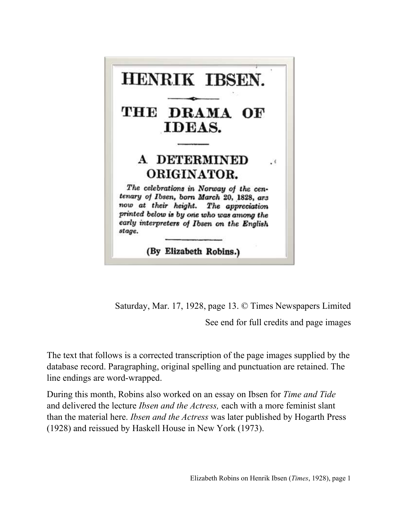

Saturday, Mar. 17, 1928, page 13. © Times Newspapers Limited

See end for full credits and page images

The text that follows is a corrected transcription of the page images supplied by the database record. Paragraphing, original spelling and punctuation are retained. The line endings are word-wrapped.

During this month, Robins also worked on an essay on Ibsen for *Time and Tide*  and delivered the lecture *Ibsen and the Actress,* each with a more feminist slant than the material here. *Ibsen and the Actress* was later published by Hogarth Press (1928) and reissued by Haskell House in New York (1973).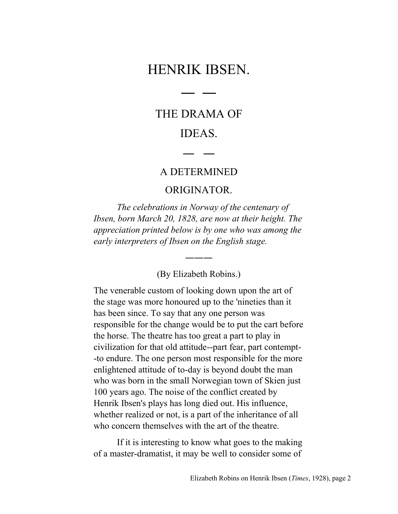# HENRIK IBSEN.

― ―

# THE DRAMA OF IDEAS.

#### A DETERMINED

― ―

#### ORIGINATOR.

*The celebrations in Norway of the centenary of Ibsen, born March 20, 1828, are now at their height. The appreciation printed below is by one who was among the early interpreters of Ibsen on the English stage.*

(By Elizabeth Robins.)

―――

The venerable custom of looking down upon the art of the stage was more honoured up to the 'nineties than it has been since. To say that any one person was responsible for the change would be to put the cart before the horse. The theatre has too great a part to play in civilization for that old attitude--part fear, part contempt- -to endure. The one person most responsible for the more enlightened attitude of to-day is beyond doubt the man who was born in the small Norwegian town of Skien just 100 years ago. The noise of the conflict created by Henrik Ibsen's plays has long died out. His influence, whether realized or not, is a part of the inheritance of all who concern themselves with the art of the theatre.

If it is interesting to know what goes to the making of a master-dramatist, it may be well to consider some of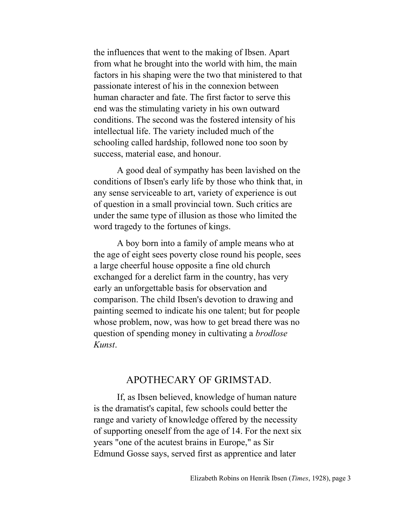the influences that went to the making of Ibsen. Apart from what he brought into the world with him, the main factors in his shaping were the two that ministered to that passionate interest of his in the connexion between human character and fate. The first factor to serve this end was the stimulating variety in his own outward conditions. The second was the fostered intensity of his intellectual life. The variety included much of the schooling called hardship, followed none too soon by success, material ease, and honour.

A good deal of sympathy has been lavished on the conditions of Ibsen's early life by those who think that, in any sense serviceable to art, variety of experience is out of question in a small provincial town. Such critics are under the same type of illusion as those who limited the word tragedy to the fortunes of kings.

A boy born into a family of ample means who at the age of eight sees poverty close round his people, sees a large cheerful house opposite a fine old church exchanged for a derelict farm in the country, has very early an unforgettable basis for observation and comparison. The child Ibsen's devotion to drawing and painting seemed to indicate his one talent; but for people whose problem, now, was how to get bread there was no question of spending money in cultivating a *brodlose Kunst*.

### APOTHECARY OF GRIMSTAD.

If, as Ibsen believed, knowledge of human nature is the dramatist's capital, few schools could better the range and variety of knowledge offered by the necessity of supporting oneself from the age of 14. For the next six years "one of the acutest brains in Europe," as Sir Edmund Gosse says, served first as apprentice and later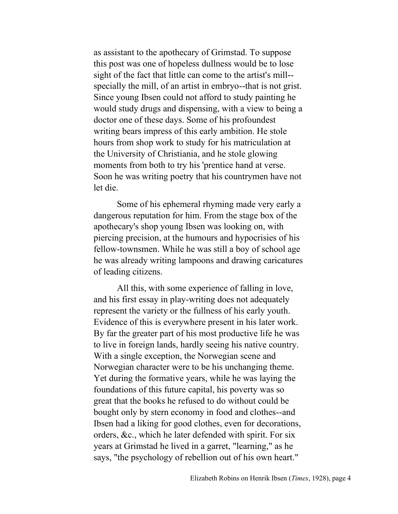as assistant to the apothecary of Grimstad. To suppose this post was one of hopeless dullness would be to lose sight of the fact that little can come to the artist's mill- specially the mill, of an artist in embryo--that is not grist. Since young Ibsen could not afford to study painting he would study drugs and dispensing, with a view to being a doctor one of these days. Some of his profoundest writing bears impress of this early ambition. He stole hours from shop work to study for his matriculation at the University of Christiania, and he stole glowing moments from both to try his 'prentice hand at verse. Soon he was writing poetry that his countrymen have not let die.

Some of his ephemeral rhyming made very early a dangerous reputation for him. From the stage box of the apothecary's shop young Ibsen was looking on, with piercing precision, at the humours and hypocrisies of his fellow-townsmen. While he was still a boy of school age he was already writing lampoons and drawing caricatures of leading citizens.

All this, with some experience of falling in love, and his first essay in play-writing does not adequately represent the variety or the fullness of his early youth. Evidence of this is everywhere present in his later work. By far the greater part of his most productive life he was to live in foreign lands, hardly seeing his native country. With a single exception, the Norwegian scene and Norwegian character were to be his unchanging theme. Yet during the formative years, while he was laying the foundations of this future capital, his poverty was so great that the books he refused to do without could be bought only by stern economy in food and clothes--and Ibsen had a liking for good clothes, even for decorations, orders, &c., which he later defended with spirit. For six years at Grimstad he lived in a garret, "learning," as he says, "the psychology of rebellion out of his own heart."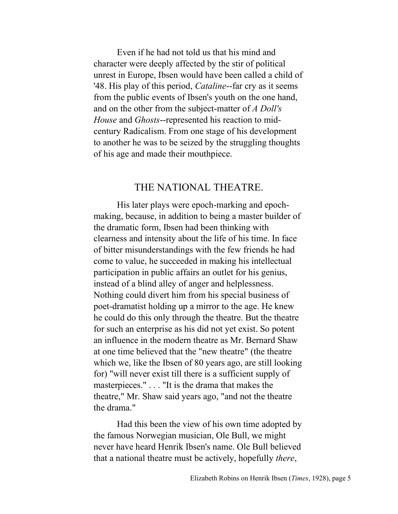Even if he had not told us that his mind and character were deeply affected by the stir of political unrest in Europe, Ibsen would have been called a child of '48. His play of this period, *Cataline*--far cry as it seems from the public events of Ibsen's youth on the one hand, and on the other from the subject-matter of *A Doll's House* and *Ghosts*--represented his reaction to midcentury Radicalism. From one stage of his development to another he was to be seized by the struggling thoughts of his age and made their mouthpiece.

#### THE NATIONAL THEATRE.

His later plays were epoch-marking and epochmaking, because, in addition to being a master builder of the dramatic form, Ibsen had been thinking with clearness and intensity about the life of his time. In face of bitter misunderstandings with the few friends he had come to value, he succeeded in making his intellectual participation in public affairs an outlet for his genius, instead of a blind alley of anger and helplessness. Nothing could divert him from his special business of poet-dramatist holding up a mirror to the age. He knew he could do this only through the theatre. But the theatre for such an enterprise as his did not yet exist. So potent an influence in the modern theatre as Mr. Bernard Shaw at one time believed that the "new theatre" (the theatre which we, like the Ibsen of 80 years ago, are still looking for) "will never exist till there is a sufficient supply of masterpieces." . . . "It is the drama that makes the theatre," Mr. Shaw said years ago, "and not the theatre the drama."

Had this been the view of his own time adopted by the famous Norwegian musician, Ole Bull, we might never have heard Henrik Ibsen's name. Ole Bull believed that a national theatre must be actively, hopefully *there*,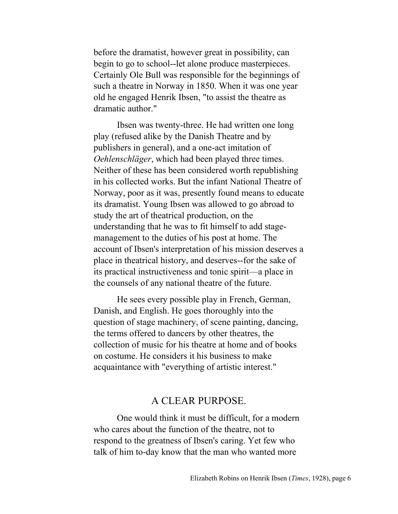before the dramatist, however great in possibility, can begin to go to school--let alone produce masterpieces. Certainly Ole Bull was responsible for the beginnings of such a theatre in Norway in 1850. When it was one year old he engaged Henrik Ibsen, "to assist the theatre as dramatic author."

Ibsen was twenty-three. He had written one long play (refused alike by the Danish Theatre and by publishers in general), and a one-act imitation of *Oehlenschläger*, which had been played three times. Neither of these has been considered worth republishing in his collected works. But the infant National Theatre of Norway, poor as it was, presently found means to educate its dramatist. Young Ibsen was allowed to go abroad to study the art of theatrical production, on the understanding that he was to fit himself to add stagemanagement to the duties of his post at home. The account of Ibsen's interpretation of his mission deserves a place in theatrical history, and deserves--for the sake of its practical instructiveness and tonic spirit—a place in the counsels of any national theatre of the future.

He sees every possible play in French, German, Danish, and English. He goes thoroughly into the question of stage machinery, of scene painting, dancing, the terms offered to dancers by other theatres, the collection of music for his theatre at home and of books on costume. He considers it his business to make acquaintance with "everything of artistic interest."

## A CLEAR PURPOSE.

One would think it must be difficult, for a modern who cares about the function of the theatre, not to respond to the greatness of Ibsen's caring. Yet few who talk of him to-day know that the man who wanted more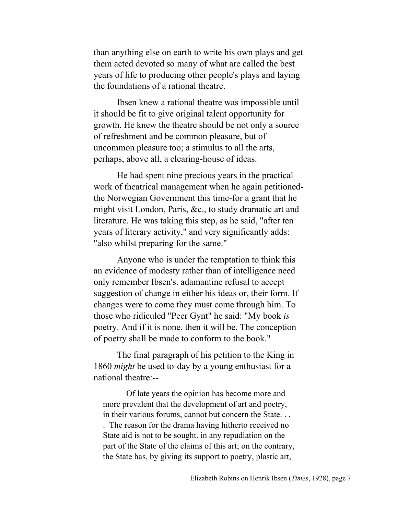than anything else on earth to write his own plays and get them acted devoted so many of what are called the best years of life to producing other people's plays and laying the foundations of a rational theatre.

Ibsen knew a rational theatre was impossible until it should be fit to give original talent opportunity for growth. He knew the theatre should be not only a source of refreshment and be common pleasure, but of uncommon pleasure too; a stimulus to all the arts, perhaps, above all, a clearing-house of ideas.

He had spent nine precious years in the practical work of theatrical management when he again petitionedthe Norwegian Government this time-for a grant that he might visit London, Paris, &c., to study dramatic art and literature. He was taking this step, as he said, "after ten years of literary activity," and very significantly adds: "also whilst preparing for the same."

Anyone who is under the temptation to think this an evidence of modesty rather than of intelligence need only remember Ibsen's. adamantine refusal to accept suggestion of change in either his ideas or, their form. If changes were to come they must come through him. To those who ridiculed "Peer Gynt" he said: "My book *is* poetry. And if it is none, then it will be. The conception of poetry shall be made to conform to the book."

The final paragraph of his petition to the King in 1860 *might* be used to-day by a young enthusiast for a national theatre:--

Of late years the opinion has become more and more prevalent that the development of art and poetry, in their various forums, cannot but concern the State. . . . The reason for the drama having hitherto received no State aid is not to be sought. in any repudiation on the part of the State of the claims of this art; on the contrary, the State has, by giving its support to poetry, plastic art,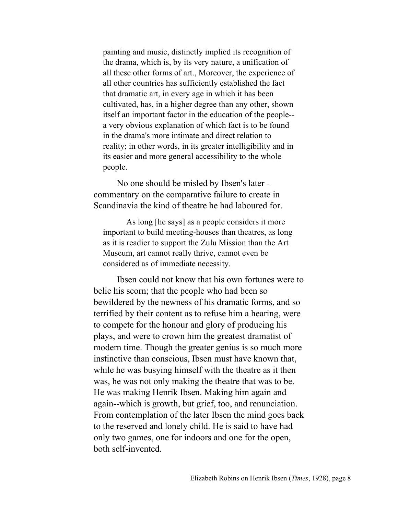painting and music, distinctly implied its recognition of the drama, which is, by its very nature, a unification of all these other forms of art., Moreover, the experience of all other countries has sufficiently established the fact that dramatic art, in every age in which it has been cultivated, has, in a higher degree than any other, shown itself an important factor in the education of the people- a very obvious explanation of which fact is to be found in the drama's more intimate and direct relation to reality; in other words, in its greater intelligibility and in its easier and more general accessibility to the whole people.

No one should be misled by Ibsen's later commentary on the comparative failure to create in Scandinavia the kind of theatre he had laboured for.

As long [he says] as a people considers it more important to build meeting-houses than theatres, as long as it is readier to support the Zulu Mission than the Art Museum, art cannot really thrive, cannot even be considered as of immediate necessity.

Ibsen could not know that his own fortunes were to belie his scorn; that the people who had been so bewildered by the newness of his dramatic forms, and so terrified by their content as to refuse him a hearing, were to compete for the honour and glory of producing his plays, and were to crown him the greatest dramatist of modern time. Though the greater genius is so much more instinctive than conscious, Ibsen must have known that, while he was busying himself with the theatre as it then was, he was not only making the theatre that was to be. He was making Henrik Ibsen. Making him again and again--which is growth, but grief, too, and renunciation. From contemplation of the later Ibsen the mind goes back to the reserved and lonely child. He is said to have had only two games, one for indoors and one for the open, both self-invented.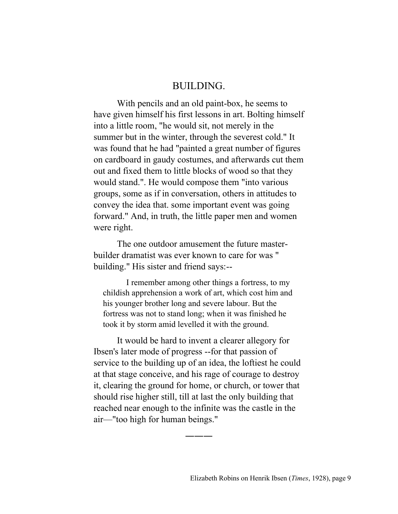#### BUILDING.

With pencils and an old paint-box, he seems to have given himself his first lessons in art. Bolting himself into a little room, "he would sit, not merely in the summer but in the winter, through the severest cold." It was found that he had "painted a great number of figures on cardboard in gaudy costumes, and afterwards cut them out and fixed them to little blocks of wood so that they would stand.". He would compose them "into various groups, some as if in conversation, others in attitudes to convey the idea that. some important event was going forward." And, in truth, the little paper men and women were right.

The one outdoor amusement the future masterbuilder dramatist was ever known to care for was " building." His sister and friend says:--

I remember among other things a fortress, to my childish apprehension a work of art, which cost him and his younger brother long and severe labour. But the fortress was not to stand long; when it was finished he took it by storm amid levelled it with the ground.

It would be hard to invent a clearer allegory for Ibsen's later mode of progress --for that passion of service to the building up of an idea, the loftiest he could at that stage conceive, and his rage of courage to destroy it, clearing the ground for home, or church, or tower that should rise higher still, till at last the only building that reached near enough to the infinite was the castle in the air—"too high for human beings."

―――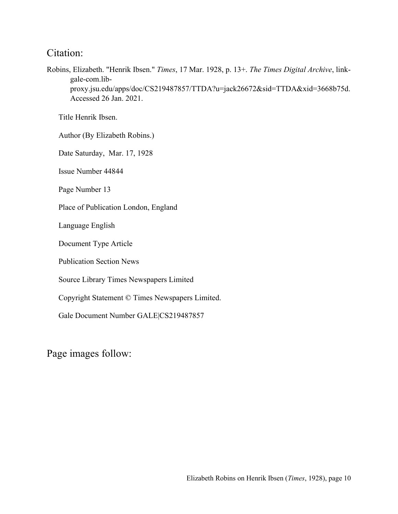## Citation:

Robins, Elizabeth. "Henrik Ibsen." *Times*, 17 Mar. 1928, p. 13+. *The Times Digital Archive*, linkgale-com.libproxy.jsu.edu/apps/doc/CS219487857/TTDA?u=jack26672&sid=TTDA&xid=3668b75d. Accessed 26 Jan. 2021.

Title Henrik Ibsen.

Author (By Elizabeth Robins.)

Date Saturday, Mar. 17, 1928

Issue Number 44844

Page Number 13

Place of Publication London, England

Language English

Document Type Article

Publication Section News

Source Library Times Newspapers Limited

Copyright Statement © Times Newspapers Limited.

Gale Document Number GALE|CS219487857

Page images follow: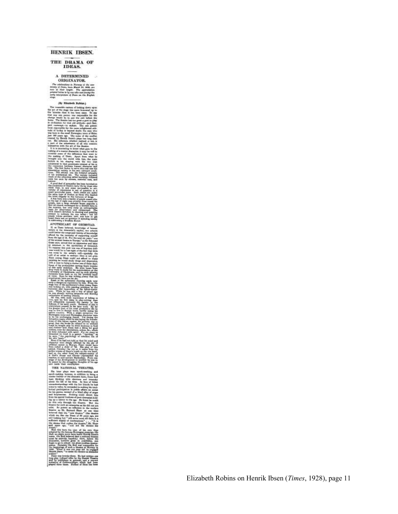#### HENRIK IBSEN.

## THE DRAMA OF IDEAS.

 ${\bf \small \begin{array}{c} \bf \small \color{red}{A} \text{ DETERMINED} \\ \text{ORIGINATOR.} \end{array}}$ N. .<br>Johnstow in Murang of the<br>John, Sara March 25, 202<br>Univ. Seight. . The approx

in in

CARY ran. OF GRI

THE NATIONAL THEATRE

ä

them. He had written as<br>the hy the Daniel Handler<br>in growing, and a series of the handler